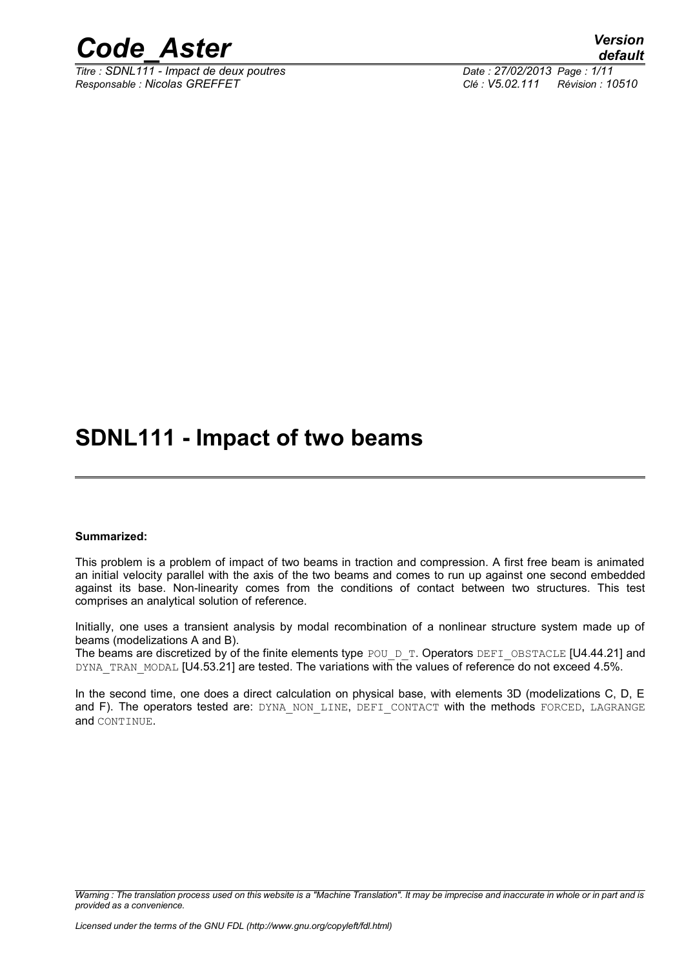

*Titre : SDNL111 - Impact de deux poutres Date : 27/02/2013 Page : 1/11 Responsable : Nicolas GREFFET Clé : V5.02.111 Révision : 10510*

## **SDNL111 - Impact of two beams**

#### **Summarized:**

This problem is a problem of impact of two beams in traction and compression. A first free beam is animated an initial velocity parallel with the axis of the two beams and comes to run up against one second embedded against its base. Non-linearity comes from the conditions of contact between two structures. This test comprises an analytical solution of reference.

Initially, one uses a transient analysis by modal recombination of a nonlinear structure system made up of beams (modelizations A and B).

The beams are discretized by of the finite elements type POU\_D\_T. Operators DEFI\_OBSTACLE [U4.44.21] and DYNA\_TRAN\_MODAL [U4.53.21] are tested. The variations with the values of reference do not exceed 4.5%.

In the second time, one does a direct calculation on physical base, with elements 3D (modelizations C, D, E and F). The operators tested are: DYNA NON LINE, DEFI CONTACT with the methods FORCED, LAGRANGE and CONTINUE.

*Warning : The translation process used on this website is a "Machine Translation". It may be imprecise and inaccurate in whole or in part and is provided as a convenience.*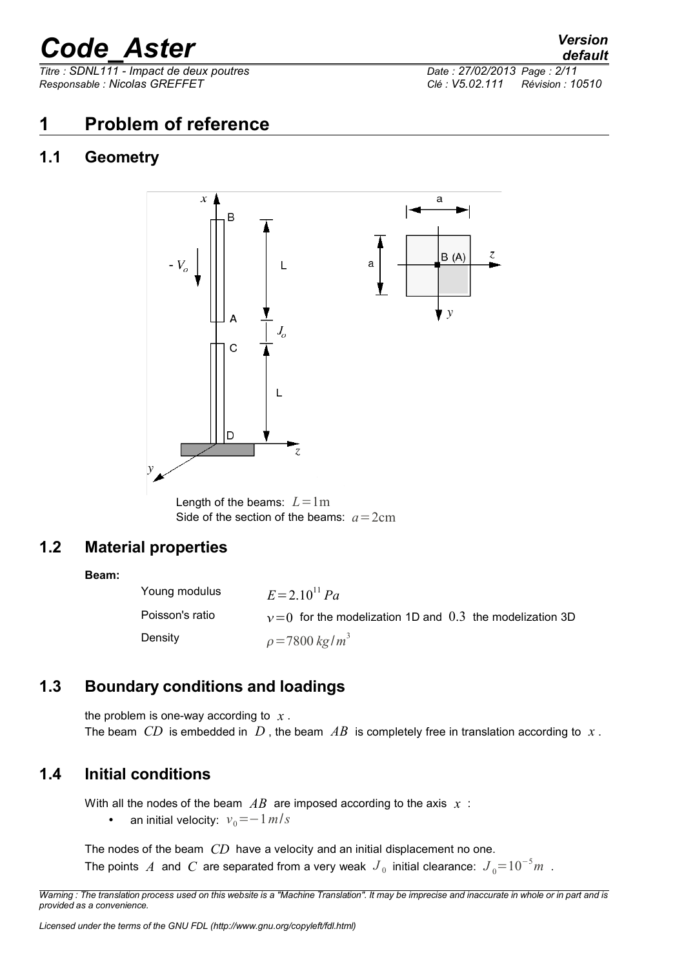*Titre : SDNL111 - Impact de deux poutres Date : 27/02/2013 Page : 2/11 Responsable : Nicolas GREFFET Clé : V5.02.111 Révision : 10510*

## **1 Problem of reference**

### **1.1 Geometry**



Length of the beams:  $L = 1m$ Side of the section of the beams:  $a = 2$ cm

## **1.2 Material properties**

#### **Beam:**

Young modulus  $E=2.10^{11} Pa$ Poisson's ratio  $v=0$  for the modelization 1D and 0.3 the modelization 3D Density  $\rho = 7800 \ kg/m^3$ 

## **1.3 Boundary conditions and loadings**

the problem is one-way according to  $x$ . The beam *CD* is embedded in D, the beam AB is completely free in translation according to x.

### **1.4 Initial conditions**

With all the nodes of the beam  $AB$  are imposed according to the axis  $x$ :

• an initial velocity:  $v_0 = -1$  *m*/*s* 

The nodes of the beam *CD* have a velocity and an initial displacement no one. The points  $\left. A \right.$  and  $\left. C \right.$  are separated from a very weak  $\left. J \right._{0}$  initial clearance:  $\left. J \right._{0} =$   $10^{-5}m$  .

*Warning : The translation process used on this website is a "Machine Translation". It may be imprecise and inaccurate in whole or in part and is provided as a convenience.*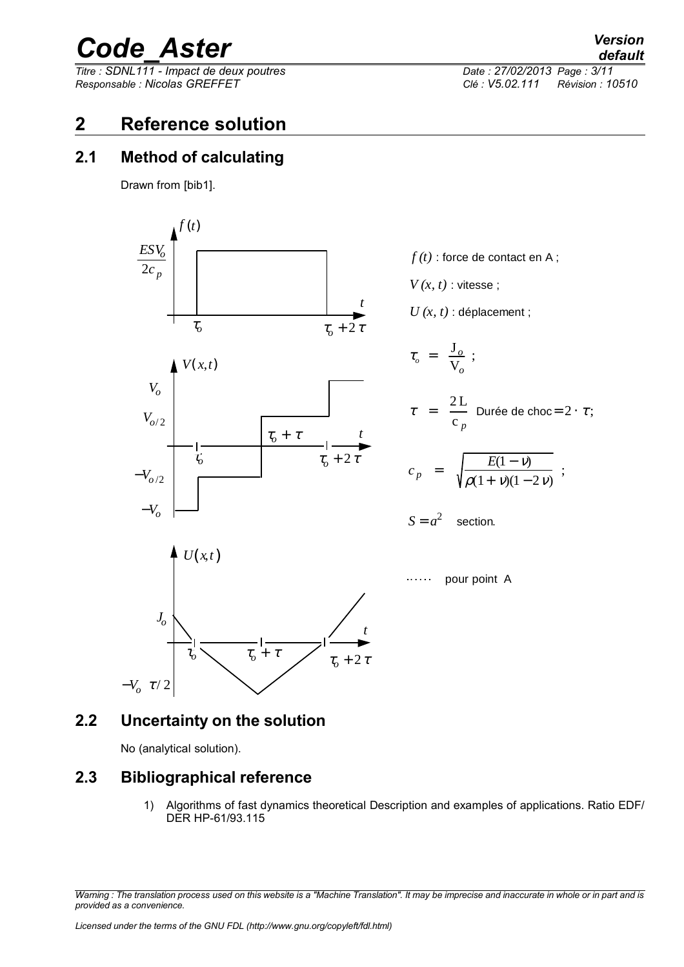*Titre : SDNL111 - Impact de deux poutres Date : 27/02/2013 Page : 3/11 Responsable : Nicolas GREFFET Clé : V5.02.111 Révision : 10510*

## **2 Reference solution**

### **2.1 Method of calculating**

Drawn from [bib1].



### **2.2 Uncertainty on the solution**

No (analytical solution).

−*V<sup>o</sup>* <sup>τ</sup> / 2

## **2.3 Bibliographical reference**

1) Algorithms of fast dynamics theoretical Description and examples of applications. Ratio EDF/ DER HP-61/93.115

*Warning : The translation process used on this website is a "Machine Translation". It may be imprecise and inaccurate in whole or in part and is provided as a convenience.*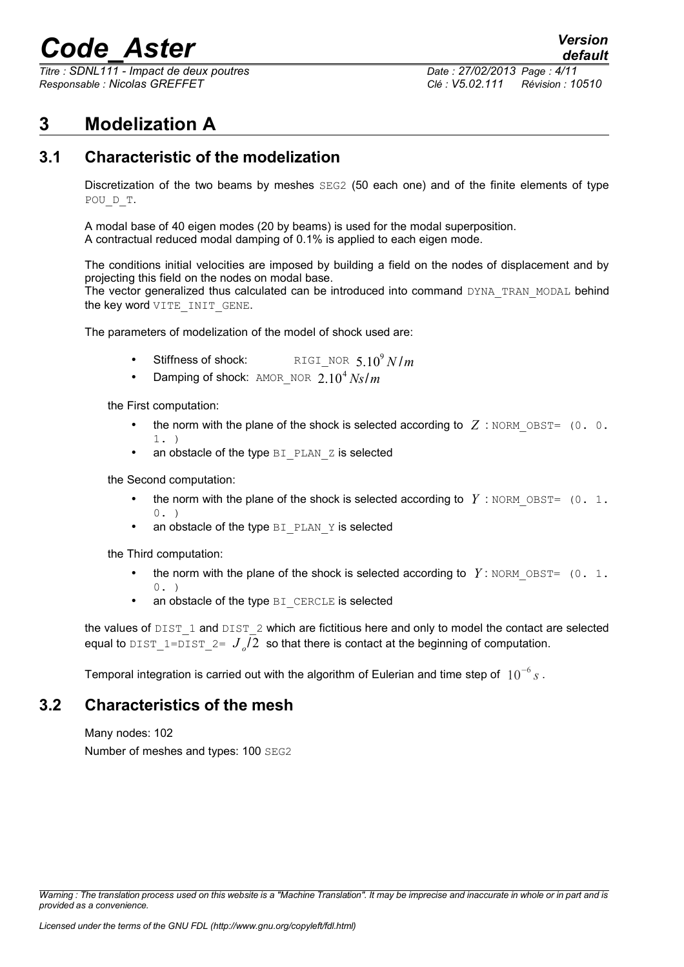*Titre : SDNL111 - Impact de deux poutres Date : 27/02/2013 Page : 4/11 Responsable : Nicolas GREFFET Clé : V5.02.111 Révision : 10510*

## **3 Modelization A**

## **3.1 Characteristic of the modelization**

Discretization of the two beams by meshes SEG2 (50 each one) and of the finite elements of type POU\_D\_T.

A modal base of 40 eigen modes (20 by beams) is used for the modal superposition. A contractual reduced modal damping of 0.1% is applied to each eigen mode.

The conditions initial velocities are imposed by building a field on the nodes of displacement and by projecting this field on the nodes on modal base.

The vector generalized thus calculated can be introduced into command DYNA\_TRAN\_MODAL behind the key word VITE INIT GENE.

The parameters of modelization of the model of shock used are:

- Stiffness of shock:  $\begin{array}{ccc} \texttt{RIGI} \texttt{NOR} & \texttt{5.10}^9\, N/m \end{array}$
- Damping of shock:  $AMOR_NOR$  2.10<sup>4</sup> Ns/m

the First computation:

- the norm with the plane of the shock is selected according to  $Z$ : NORM, OBST=  $(0, 0, 0)$ 1. )
- an obstacle of the type  $BI$  PLAN  $Z$  is selected

the Second computation:

- the norm with the plane of the shock is selected according to  $Y$ : NORM, OBST=  $(0, 1, 1)$  $(0, 0)$
- an obstacle of the type  $BI$  PLAN  $Y$  is selected

the Third computation:

- the norm with the plane of the shock is selected according to  $Y$ : NORM OBST= (0. 1.  $0.$ )
- an obstacle of the type BI CERCLE is selected

the values of  $\text{DIST 1}$  and  $\text{DIST 2}$  which are fictitious here and only to model the contact are selected equal to  $\text{\texttt{dist\_1=dist\_2=}}\;J_{\textit{o}}/2\;$  so that there is contact at the beginning of computation.

Temporal integration is carried out with the algorithm of Eulerian and time step of 10<sup>−</sup><sup>6</sup> *s* .

#### **3.2 Characteristics of the mesh**

Many nodes: 102 Number of meshes and types: 100 SEG2

*Warning : The translation process used on this website is a "Machine Translation". It may be imprecise and inaccurate in whole or in part and is provided as a convenience.*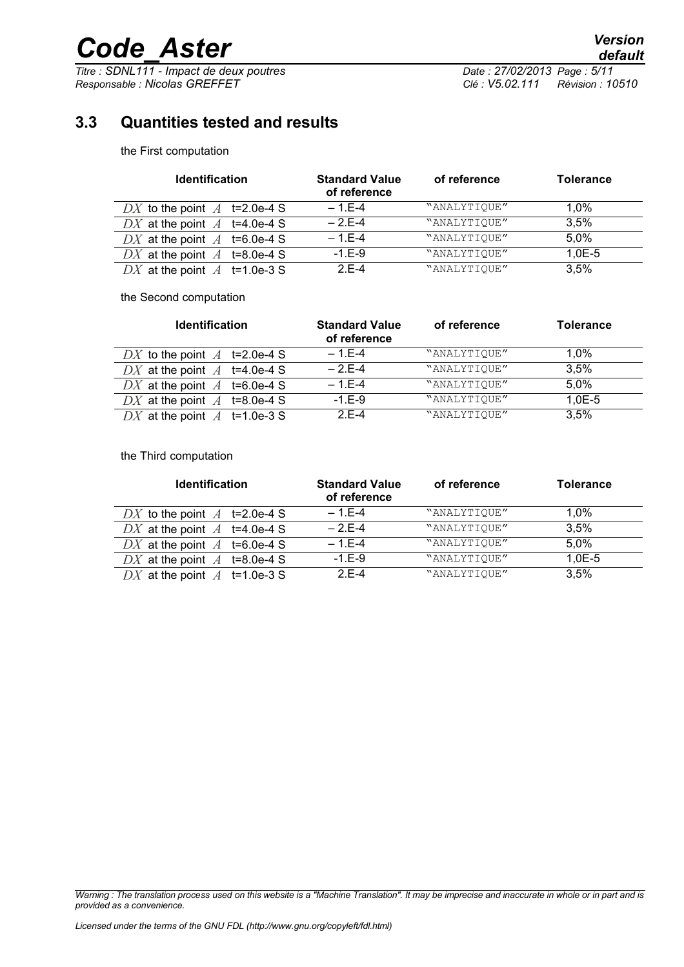*Titre : SDNL111 - Impact de deux poutres Date : 27/02/2013 Page : 5/11 Responsable : Nicolas GREFFET Clé : V5.02.111 Révision : 10510*

## **3.3 Quantities tested and results**

the First computation

| <b>Identification</b>          | <b>Standard Value</b><br>of reference | of reference | <b>Tolerance</b> |
|--------------------------------|---------------------------------------|--------------|------------------|
| DX to the point $A$ t=2.0e-4 S | $-1.E-4$                              | "ANALYTIQUE" | $1.0\%$          |
| DX at the point $A$ t=4.0e-4 S | $-2F-4$                               | "ANALYTIQUE" | 3.5%             |
| DX at the point $A$ t=6.0e-4 S | $-1.E-4$                              | "ANALYTIQUE" | 5,0%             |
| DX at the point $A$ t=8.0e-4 S | $-1.E-9$                              | "ANALYTIQUE" | $1,0E-5$         |
| DX at the point $A$ t=1.0e-3 S | $2F-4$                                | "ANALYTIQUE" | 3.5%             |

the Second computation

| <b>Identification</b>          | <b>Standard Value</b><br>of reference | of reference | <b>Tolerance</b> |
|--------------------------------|---------------------------------------|--------------|------------------|
| DX to the point $A$ t=2.0e-4 S | $-1.E-4$                              | "ANALYTIOUE" | $1.0\%$          |
| DX at the point $A$ t=4.0e-4 S | $-2F-4$                               | "ANALYTIQUE" | 3.5%             |
| DX at the point $A$ t=6.0e-4 S | $-1.E-4$                              | "ANALYTIQUE" | 5,0%             |
| DX at the point $A$ t=8.0e-4 S | $-1.E-9$                              | "ANALYTIQUE" | $1,0E-5$         |
| DX at the point $A$ t=1.0e-3 S | $2E-4$                                | "ANALYTIQUE" | 3.5%             |

the Third computation

| <b>Identification</b>          | <b>Standard Value</b><br>of reference | of reference | <b>Tolerance</b> |
|--------------------------------|---------------------------------------|--------------|------------------|
| DX to the point $A$ t=2.0e-4 S | $-1.E-4$                              | "ANALYTIQUE" | $1.0\%$          |
| DX at the point $A$ t=4.0e-4 S | $-2F-4$                               | "ANALYTIQUE" | 3.5%             |
| DX at the point $A$ t=6.0e-4 S | $-1.E-4$                              | "ANALYTIQUE" | 5,0%             |
| DX at the point $A$ t=8.0e-4 S | $-1.E-9$                              | "ANALYTIQUE" | $1,0E-5$         |
| DX at the point $A$ t=1.0e-3 S | $2E-4$                                | "ANALYTIQUE" | 3.5%             |

*Warning : The translation process used on this website is a "Machine Translation". It may be imprecise and inaccurate in whole or in part and is provided as a convenience.*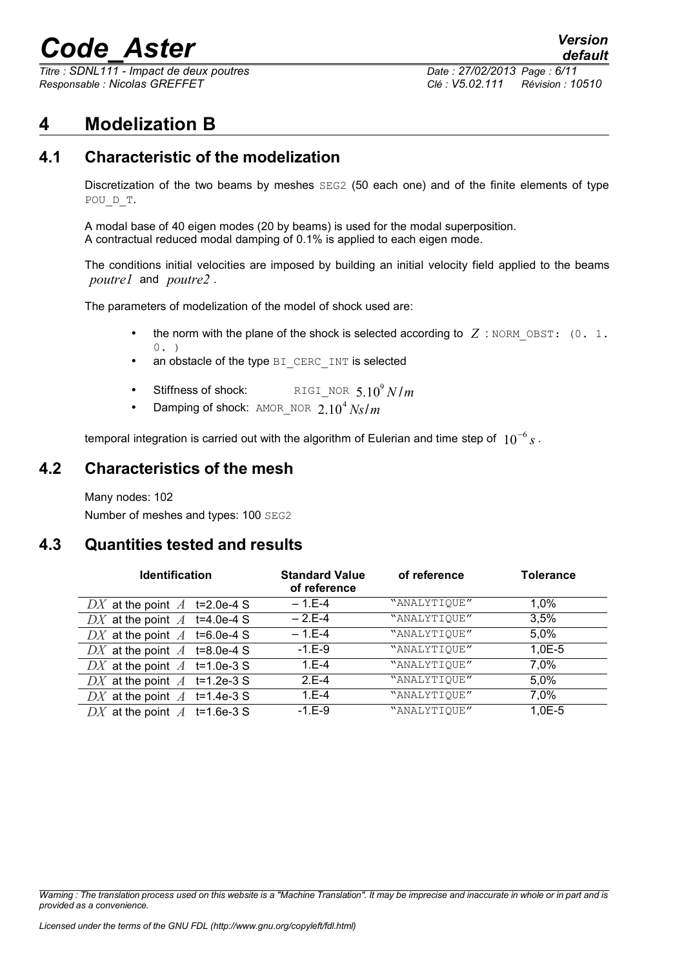*Titre : SDNL111 - Impact de deux poutres Date : 27/02/2013 Page : 6/11 Responsable : Nicolas GREFFET Clé : V5.02.111 Révision : 10510*

*default*

## **4 Modelization B**

### **4.1 Characteristic of the modelization**

Discretization of the two beams by meshes SEG2 (50 each one) and of the finite elements of type POU\_D\_T.

A modal base of 40 eigen modes (20 by beams) is used for the modal superposition. A contractual reduced modal damping of 0.1% is applied to each eigen mode.

The conditions initial velocities are imposed by building an initial velocity field applied to the beams *poutre1* and *poutre2* .

The parameters of modelization of the model of shock used are:

- the norm with the plane of the shock is selected according to  $Z$ : NORM OBST: (0. 1.  $0.$ )
- an obstacle of the type BI CERC INT is selected
- Stiffness of shock:  $\begin{array}{ccc} \texttt{RIGI} \texttt{NOR} & \texttt{5.10}^9\, N/m \end{array}$
- Damping of shock:  $AMOR_NOR$  2.10<sup>4</sup> Ns/m

temporal integration is carried out with the algorithm of Eulerian and time step of 10<sup>−</sup><sup>6</sup> *s* .

#### **4.2 Characteristics of the mesh**

Many nodes: 102 Number of meshes and types: 100 SEG2

#### **4.3 Quantities tested and results**

| <b>Identification</b>          | <b>Standard Value</b><br>of reference | of reference | <b>Tolerance</b> |
|--------------------------------|---------------------------------------|--------------|------------------|
| DX at the point $A$ t=2.0e-4 S | $-1.E-4$                              | "ANALYTIOUE" | $1.0\%$          |
| DX at the point $A$ t=4.0e-4 S | $-2.E-4$                              | "ANALYTIQUE" | 3,5%             |
| DX at the point $A$ t=6.0e-4 S | $-1.E-4$                              | "ANALYTIQUE" | 5,0%             |
| DX at the point $A$ t=8.0e-4 S | $-1.E-9$                              | "ANALYTIQUE" | $1.0E - 5$       |
| DX at the point $A$ t=1.0e-3 S | $1.E-4$                               | "ANALYTIQUE" | 7,0%             |
| DX at the point $A$ t=1.2e-3 S | $2.E-4$                               | "ANALYTIQUE" | 5,0%             |
| DX at the point $A$ t=1.4e-3 S | $1.E-4$                               | "ANALYTIQUE" | 7,0%             |
| DX at the point $A$ t=1.6e-3 S | $-1.E-9$                              | "ANALYTIQUE" | $1,0E-5$         |

*Warning : The translation process used on this website is a "Machine Translation". It may be imprecise and inaccurate in whole or in part and is provided as a convenience.*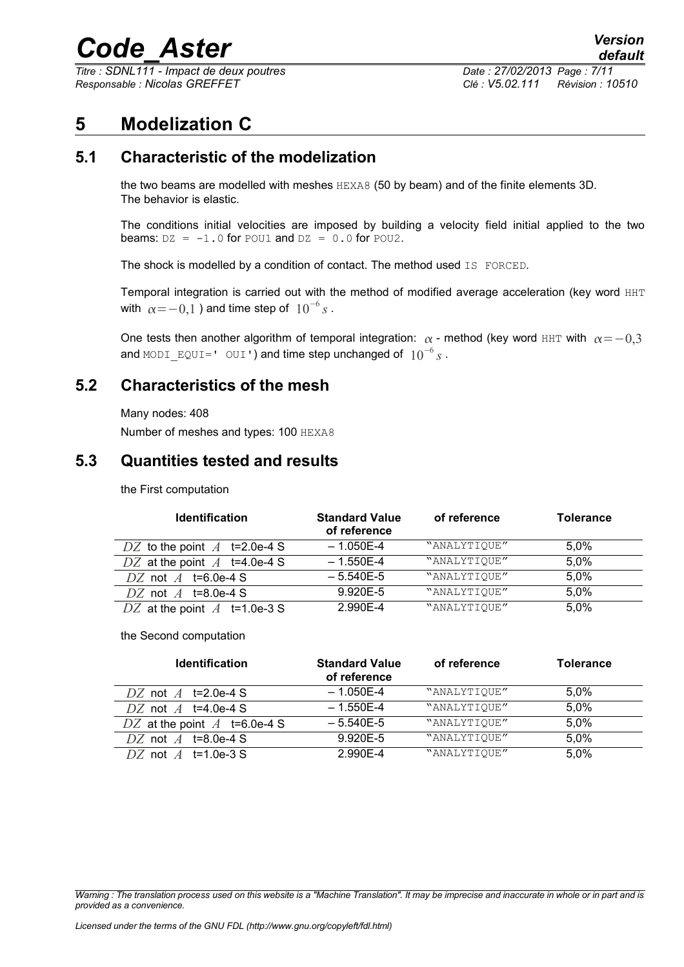*Titre : SDNL111 - Impact de deux poutres Date : 27/02/2013 Page : 7/11 Responsable : Nicolas GREFFET Clé : V5.02.111 Révision : 10510*

## **5 Modelization C**

## **5.1 Characteristic of the modelization**

the two beams are modelled with meshes HEXA8 (50 by beam) and of the finite elements 3D. The behavior is elastic.

The conditions initial velocities are imposed by building a velocity field initial applied to the two beams:  $DZ = -1.0$  for POU1 and  $DZ = 0.0$  for POU2.

The shock is modelled by a condition of contact. The method used IS FORCED.

Temporal integration is carried out with the method of modified average acceleration (key word HHT with  $\alpha$   $=$   $-0,1$  ) and time step of  $\;10^{-6}\,s$  .

One tests then another algorithm of temporal integration:  $\alpha$  - method (key word HHT with  $\alpha = -0.3$ and <code>MODI\_EQUI=' OUI')</code> and time step unchanged of  $~10^{-6}\,$  ∫ .

#### **5.2 Characteristics of the mesh**

Number of meshes and types: 100 HEXA8

#### **5.3 Quantities tested and results**

the First computation

| <b>Identification</b>            | <b>Standard Value</b><br>of reference | of reference | <b>Tolerance</b> |
|----------------------------------|---------------------------------------|--------------|------------------|
| DZ to the point $A$ t=2.0e-4 S   | $-1.050E-4$                           | "ANALYTIOUE" | $5.0\%$          |
| DZ at the point $A$ t=4.0e-4 S   | $-1.550E-4$                           | "ANALYTIQUE" | 5.0%             |
| DZ not $A$ t=6.0e-4 S            | $-5.540E-5$                           | "ANALYTIQUE" | 5,0%             |
| DZ not $\overline{A}$ t=8.0e-4 S | 9.920E-5                              | "ANALYTIQUE" | 5.0%             |
| DZ at the point $A$ t=1.0e-3 S   | 2.990E-4                              | "ANALYTIQUE" | 5,0%             |

#### the Second computation

| <b>Identification</b>            | <b>Standard Value</b><br>of reference | of reference | <b>Tolerance</b> |
|----------------------------------|---------------------------------------|--------------|------------------|
| DZ not $\overline{A}$ t=2.0e-4 S | $-1.050E-4$                           | "ANALYTIOUE" | 5.0%             |
| DZ not $\overline{A}$ t=4.0e-4 S | $-1.550E-4$                           | "ANALYTIOUE" | 5,0%             |
| DZ at the point $A$ t=6.0e-4 S   | $-5.540E-5$                           | "ANALYTIQUE" | 5,0%             |
| DZ not $\overline{A}$ t=8.0e-4 S | 9.920E-5                              | "ANALYTIOUE" | 5,0%             |
| DZ not $\overline{A}$ t=1.0e-3 S | 2.990E-4                              | "ANALYTIOUE" | 5.0%             |

Many nodes: 408

*Warning : The translation process used on this website is a "Machine Translation". It may be imprecise and inaccurate in whole or in part and is provided as a convenience.*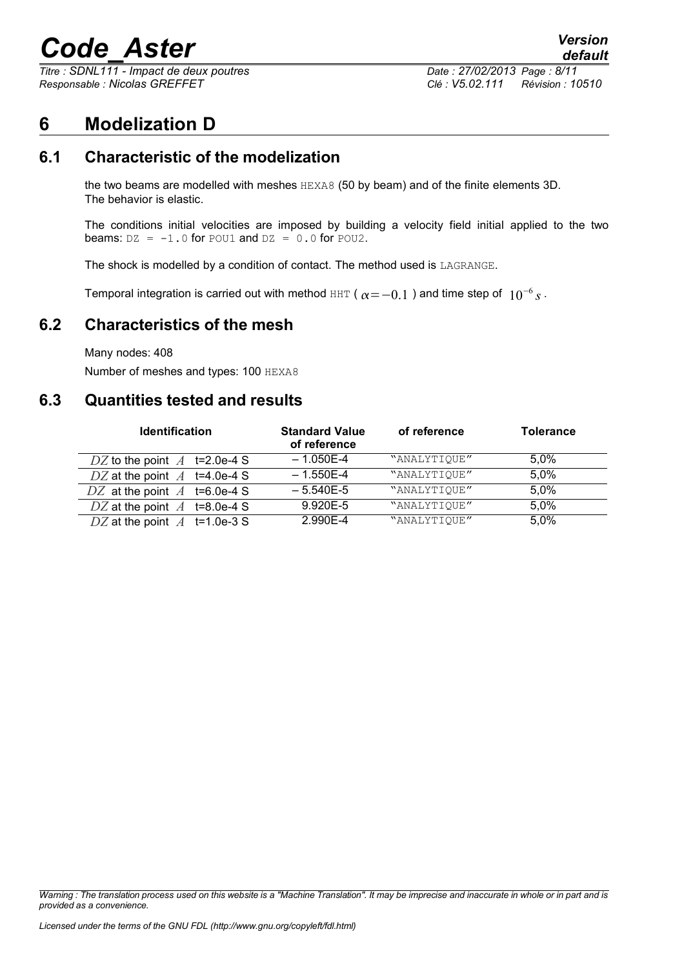*Titre : SDNL111 - Impact de deux poutres Date : 27/02/2013 Page : 8/11 Responsable : Nicolas GREFFET Clé : V5.02.111 Révision : 10510*

## **6 Modelization D**

### **6.1 Characteristic of the modelization**

the two beams are modelled with meshes HEXA8 (50 by beam) and of the finite elements 3D. The behavior is elastic.

The conditions initial velocities are imposed by building a velocity field initial applied to the two beams:  $DZ = -1.0$  for POU1 and  $DZ = 0.0$  for POU2.

The shock is modelled by a condition of contact. The method used is LAGRANGE.

Temporal integration is carried out with method <code>HHT</code> (  $\alpha$   $=$   $-0.1$  ) and time step of  $\,\,10^{-6}\,$   $\rm{s}$  .

#### **6.2 Characteristics of the mesh**

Many nodes: 408

Number of meshes and types: 100 HEXA8

### **6.3 Quantities tested and results**

| <b>Identification</b>          | <b>Standard Value</b><br>of reference | of reference | <b>Tolerance</b> |
|--------------------------------|---------------------------------------|--------------|------------------|
| DZ to the point $A$ t=2.0e-4 S | $-1.050E-4$                           | "ANALYTIQUE" | $5.0\%$          |
| DZ at the point $A$ t=4.0e-4 S | $-1.550E-4$                           | "ANALYTIOUE" | 5.0%             |
| DZ at the point $A$ t=6.0e-4 S | $-5.540E-5$                           | "ANALYTIQUE" | 5,0%             |
| DZ at the point $A$ t=8.0e-4 S | 9.920E-5                              | "ANALYTIQUE" | 5,0%             |
| DZ at the point $A$ t=1.0e-3 S | 2.990E-4                              | "ANALYTIQUE" | 5.0%             |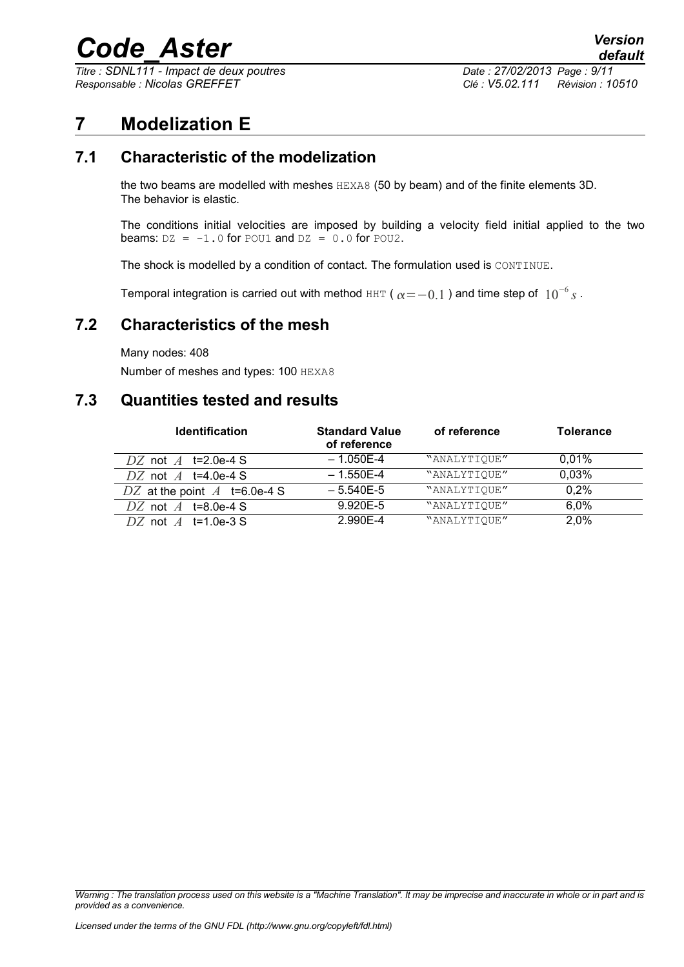*Titre : SDNL111 - Impact de deux poutres Date : 27/02/2013 Page : 9/11 Responsable : Nicolas GREFFET Clé : V5.02.111 Révision : 10510*

## **7 Modelization E**

## **7.1 Characteristic of the modelization**

the two beams are modelled with meshes HEXA8 (50 by beam) and of the finite elements 3D. The behavior is elastic.

The conditions initial velocities are imposed by building a velocity field initial applied to the two beams:  $DZ = -1.0$  for POU1 and  $DZ = 0.0$  for POU2.

The shock is modelled by a condition of contact. The formulation used is CONTINUE.

Temporal integration is carried out with method <code>HHT</code> (  $\alpha \! =\! -0.1$  ) and time step of  $\,10^{-6}\, s$  .

#### **7.2 Characteristics of the mesh**

Many nodes: 408

Number of meshes and types: 100 HEXA8

#### **7.3 Quantities tested and results**

| <b>Identification</b>            | <b>Standard Value</b><br>of reference | of reference | <b>Tolerance</b> |
|----------------------------------|---------------------------------------|--------------|------------------|
| DZ not $\overline{A}$ t=2.0e-4 S | $-1.050E-4$                           | "ANALYTIOUE" | $0.01\%$         |
| DZ not $\overline{A}$ t=4.0e-4 S | $-1.550E-4$                           | "ANALYTIOUE" | 0.03%            |
| DZ at the point $A$ t=6.0e-4 S   | $-5.540E-5$                           | "ANALYTIOUE" | 0,2%             |
| DZ not $A$ t=8.0e-4 S            | 9.920E-5                              | "ANALYTIQUE" | 6,0%             |
| DZ not $\overline{A}$ t=1.0e-3.8 | 2.990E-4                              | "ANALYTIOUE" | 2.0%             |

*Warning : The translation process used on this website is a "Machine Translation". It may be imprecise and inaccurate in whole or in part and is provided as a convenience.*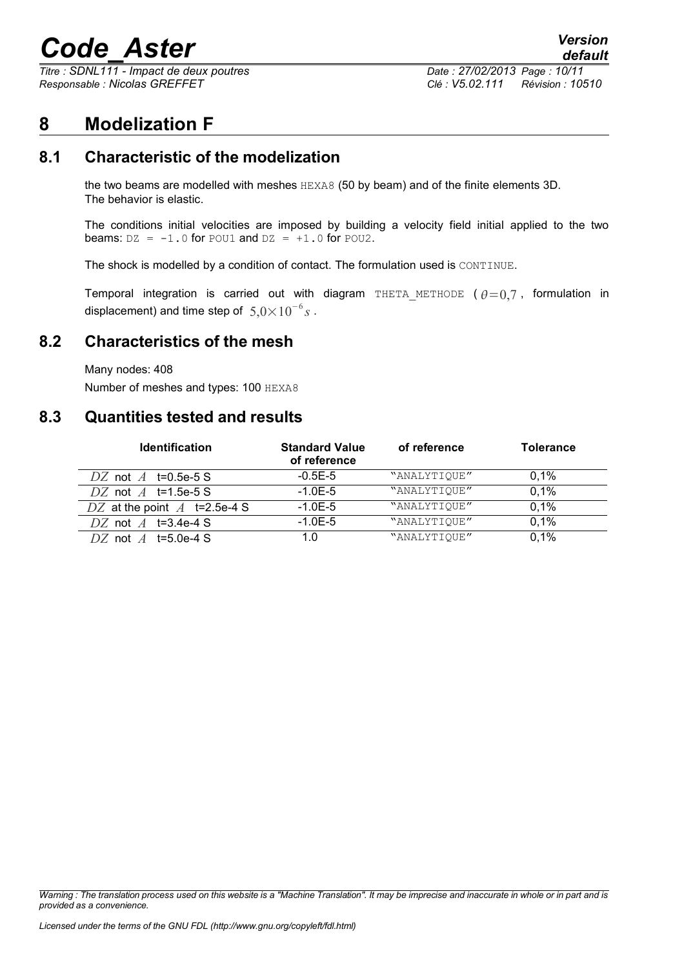*Titre : SDNL111 - Impact de deux poutres Date : 27/02/2013 Page : 10/11 Responsable : Nicolas GREFFET Clé : V5.02.111 Révision : 10510*

## **8 Modelization F**

## **8.1 Characteristic of the modelization**

the two beams are modelled with meshes HEXA8 (50 by beam) and of the finite elements 3D. The behavior is elastic.

The conditions initial velocities are imposed by building a velocity field initial applied to the two beams:  $DZ = -1.0$  for POU1 and  $DZ = +1.0$  for POU2.

The shock is modelled by a condition of contact. The formulation used is CONTINUE.

Temporal integration is carried out with diagram THETA METHODE ( $\theta = 0.7$ , formulation in displacement) and time step of  $5,0\times10^{-6}s$  .

#### **8.2 Characteristics of the mesh**

Many nodes: 408

Number of meshes and types: 100 HEXA8

#### **8.3 Quantities tested and results**

| <b>Identification</b>            | <b>Standard Value</b><br>of reference | of reference | <b>Tolerance</b> |
|----------------------------------|---------------------------------------|--------------|------------------|
| DZ not $\overline{A}$ t=0.5e-5 S | $-0.5E-5$                             | "ANALYTIOUE" | 0.1%             |
| DZ not $A$ t=1.5e-5 S            | $-1.0E-5$                             | "ANALYTIQUE" | 0.1%             |
| DZ at the point $A$ t=2.5e-4 S   | $-1.0E-5$                             | "ANALYTIQUE" | 0.1%             |
| DZ not $\overline{A}$ t=3.4e-4 S | $-1.0E-5$                             | "ANALYTIOUE" | 0.1%             |
| DZ not $A$ t=5.0e-4 S            | 1.0                                   | "ANALYTIOUE" | 0.1%             |

*Warning : The translation process used on this website is a "Machine Translation". It may be imprecise and inaccurate in whole or in part and is provided as a convenience.*